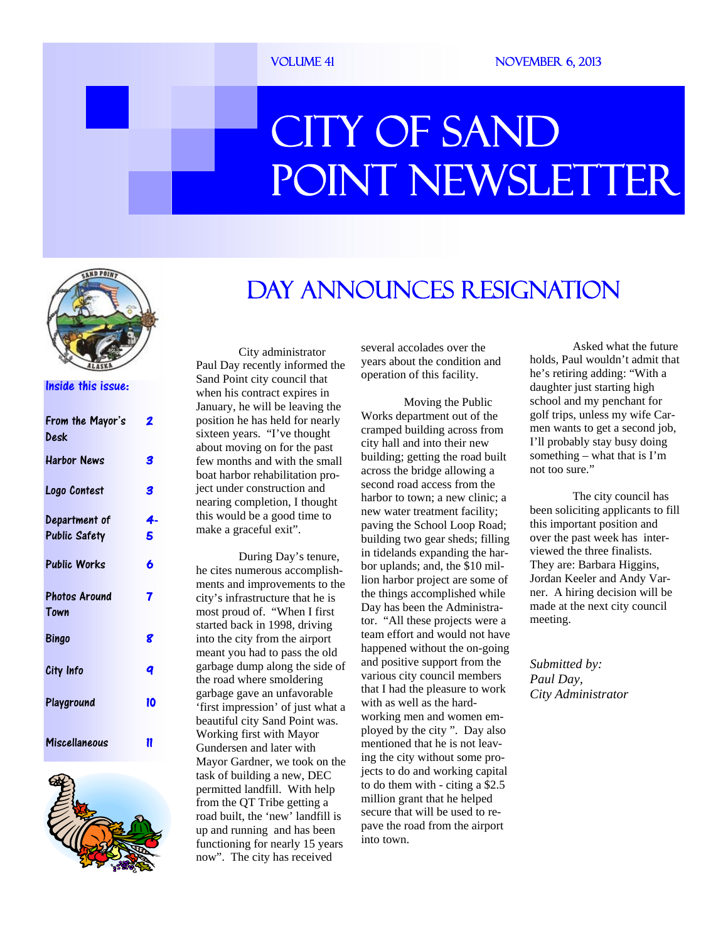#### VOLUME 41 NOVEMBER 6, 2013

# CITY OF SAND POINT NEWSLETTER



#### Inside this issue:

| From the Mayor's     | 2  |
|----------------------|----|
| Desk                 |    |
| <b>Harbor News</b>   | 3  |
| Logo Contest         | 3  |
| Department of        | 4. |
| <b>Public Safety</b> | 5  |
| <b>Public Works</b>  | 6  |
| <b>Photos Around</b> | 7  |
| Town                 |    |
| Bingo                | 8  |
| City Info            | q  |
| Playground           | 10 |
| Miscellaneous        | 11 |



### Day Announces Resignation

 City administrator Paul Day recently informed the Sand Point city council that when his contract expires in January, he will be leaving the position he has held for nearly sixteen years. "I've thought about moving on for the past few months and with the small boat harbor rehabilitation project under construction and nearing completion, I thought this would be a good time to make a graceful exit".

 During Day's tenure, he cites numerous accomplishments and improvements to the city's infrastructure that he is most proud of. "When I first started back in 1998, driving into the city from the airport meant you had to pass the old garbage dump along the side of the road where smoldering garbage gave an unfavorable 'first impression' of just what a beautiful city Sand Point was. Working first with Mayor Gundersen and later with Mayor Gardner, we took on the task of building a new, DEC permitted landfill. With help from the QT Tribe getting a road built, the 'new' landfill is up and running and has been functioning for nearly 15 years now". The city has received

several accolades over the years about the condition and operation of this facility.

 Moving the Public Works department out of the cramped building across from city hall and into their new building; getting the road built across the bridge allowing a second road access from the harbor to town; a new clinic; a new water treatment facility; paving the School Loop Road; building two gear sheds; filling in tidelands expanding the harbor uplands; and, the \$10 million harbor project are some of the things accomplished while Day has been the Administrator. "All these projects were a team effort and would not have happened without the on-going and positive support from the various city council members that I had the pleasure to work with as well as the hardworking men and women employed by the city ". Day also mentioned that he is not leaving the city without some projects to do and working capital to do them with - citing a \$2.5 million grant that he helped secure that will be used to repave the road from the airport into town.

 Asked what the future holds, Paul wouldn't admit that he's retiring adding: "With a daughter just starting high school and my penchant for golf trips, unless my wife Carmen wants to get a second job, I'll probably stay busy doing something – what that is  $\Gamma'$ m not too sure."

 The city council has been soliciting applicants to fill this important position and over the past week has interviewed the three finalists. They are: Barbara Higgins, Jordan Keeler and Andy Varner. A hiring decision will be made at the next city council meeting.

*Submitted by: Paul Day, City Administrator*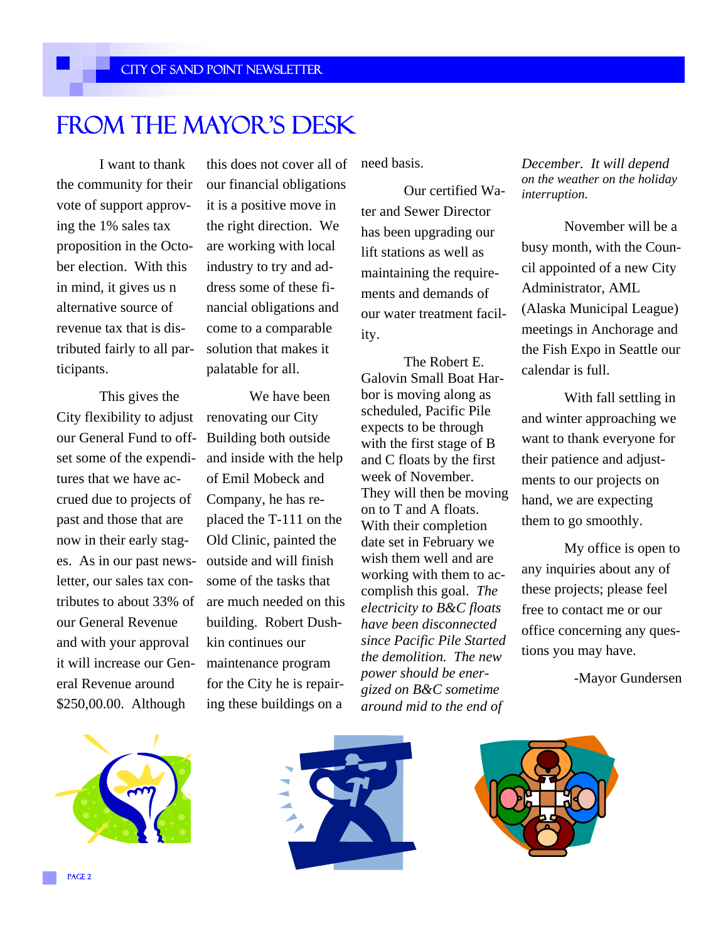### From the Mayor's Desk

 I want to thank the community for their vote of support approving the 1% sales tax proposition in the October election. With this in mind, it gives us n alternative source of revenue tax that is distributed fairly to all participants.

 This gives the City flexibility to adjust our General Fund to offset some of the expenditures that we have accrued due to projects of past and those that are now in their early stages. As in our past newsletter, our sales tax contributes to about 33% of our General Revenue and with your approval it will increase our General Revenue around \$250,00.00. Although

this does not cover all of our financial obligations it is a positive move in the right direction. We are working with local industry to try and address some of these financial obligations and come to a comparable solution that makes it palatable for all.

 We have been renovating our City Building both outside and inside with the help of Emil Mobeck and Company, he has replaced the T-111 on the Old Clinic, painted the outside and will finish some of the tasks that are much needed on this building. Robert Dushkin continues our maintenance program for the City he is repairing these buildings on a

need basis.

 Our certified Water and Sewer Director has been upgrading our lift stations as well as maintaining the requirements and demands of our water treatment facility.

 The Robert E. Galovin Small Boat Harbor is moving along as scheduled, Pacific Pile expects to be through with the first stage of B and C floats by the first week of November. They will then be moving on to T and A floats. With their completion date set in February we wish them well and are working with them to accomplish this goal. *The electricity to B&C floats have been disconnected since Pacific Pile Started the demolition. The new power should be energized on B&C sometime around mid to the end of* 

*December. It will depend on the weather on the holiday interruption.* 

 November will be a busy month, with the Council appointed of a new City Administrator, AML (Alaska Municipal League) meetings in Anchorage and the Fish Expo in Seattle our calendar is full.

 With fall settling in and winter approaching we want to thank everyone for their patience and adjustments to our projects on hand, we are expecting them to go smoothly.

 My office is open to any inquiries about any of these projects; please feel free to contact me or our office concerning any questions you may have.

-Mayor Gundersen





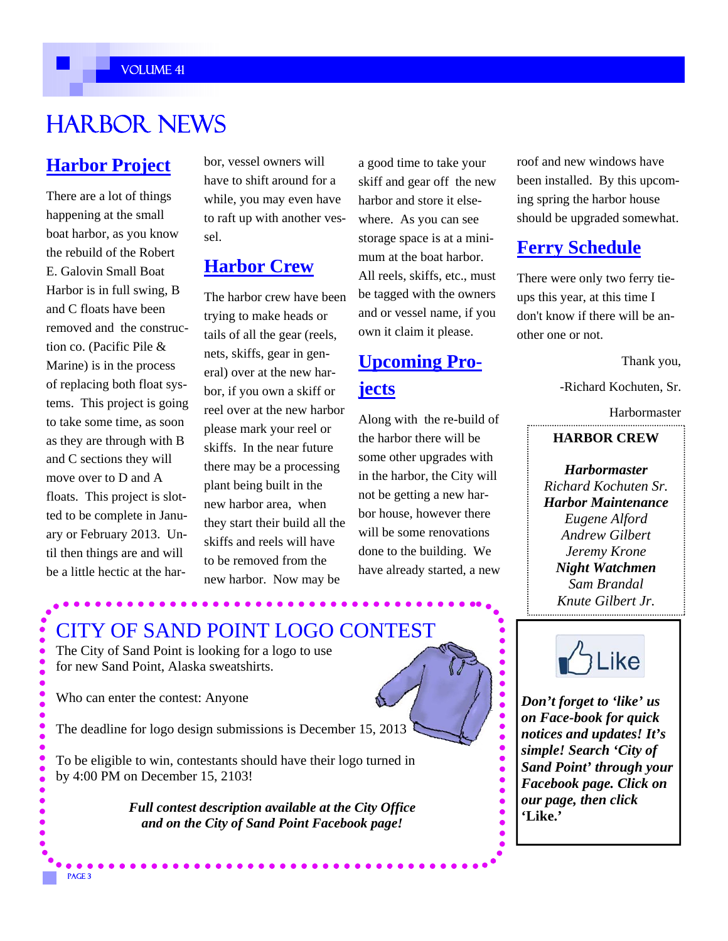#### Volume 41

### **HARBOR NEWS**

### **Harbor Project**

There are a lot of things happening at the small boat harbor, as you know the rebuild of the Robert E. Galovin Small Boat Harbor is in full swing, B and C floats have been removed and the construction co. (Pacific Pile & Marine) is in the process of replacing both float systems. This project is going to take some time, as soon as they are through with B and C sections they will move over to D and A floats. This project is slotted to be complete in January or February 2013. Until then things are and will be a little hectic at the harbor, vessel owners will have to shift around for a while, you may even have to raft up with another vessel.

### **Harbor Crew**

The harbor crew have been trying to make heads or tails of all the gear (reels, nets, skiffs, gear in general) over at the new harbor, if you own a skiff or reel over at the new harbor please mark your reel or skiffs. In the near future there may be a processing plant being built in the new harbor area, when they start their build all the skiffs and reels will have to be removed from the new harbor. Now may be

a good time to take your skiff and gear off the new harbor and store it elsewhere. As you can see storage space is at a minimum at the boat harbor. All reels, skiffs, etc., must be tagged with the owners and or vessel name, if you own it claim it please.

### **Upcoming Projects**

Along with the re-build of the harbor there will be some other upgrades with in the harbor, the City will not be getting a new harbor house, however there will be some renovations done to the building. We have already started, a new roof and new windows have been installed. By this upcoming spring the harbor house should be upgraded somewhat.

### **Ferry Schedule**

There were only two ferry tieups this year, at this time I don't know if there will be another one or not.

Thank you,

-Richard Kochuten, Sr.

Harbormaster

#### **HARBOR CREW**

*Harbormaster Richard Kochuten Sr. Harbor Maintenance Eugene Alford Andrew Gilbert Jeremy Krone Night Watchmen Sam Brandal Knute Gilbert Jr.*  



*Don't forget to 'like' us on Face-book for quick notices and updates! It's simple! Search 'City of Sand Point' through your Facebook page. Click on our page, then click*  **'Like.'** 

### CITY OF SAND POINT LOGO CONTEST

The City of Sand Point is looking for a logo to use for new Sand Point, Alaska sweatshirts.

Who can enter the contest: Anyone

PAGE<sub>3</sub>

The deadline for logo design submissions is December 15, 2013

To be eligible to win, contestants should have their logo turned in by 4:00 PM on December 15, 2103!

> *Full contest description available at the City Office and on the City of Sand Point Facebook page!*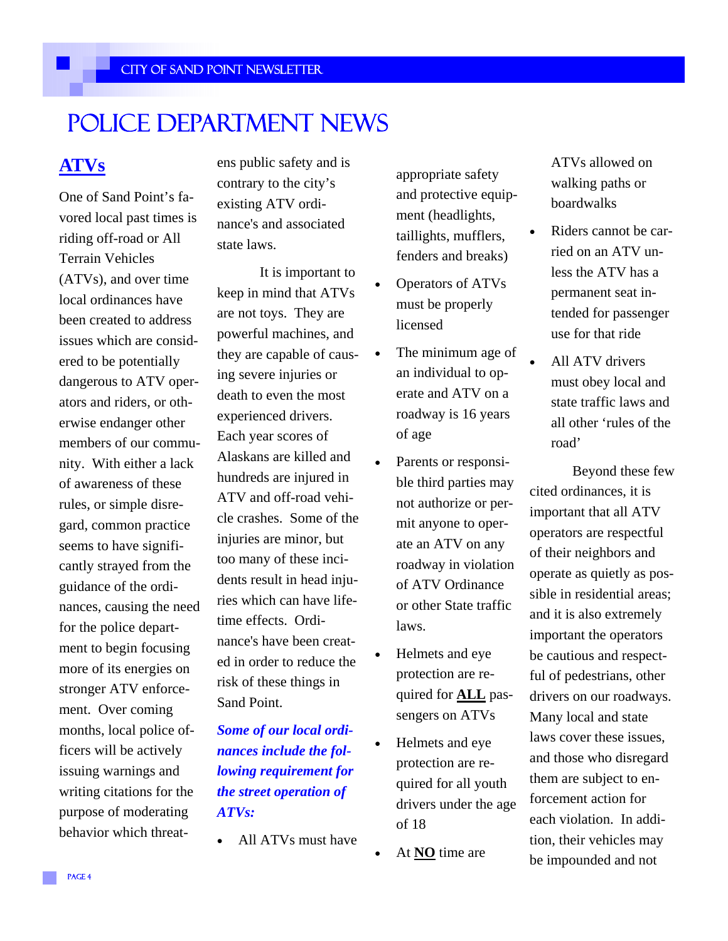### Police Department News

### **ATVs**

One of Sand Point's favored local past times is riding off-road or All Terrain Vehicles (ATVs), and over time local ordinances have been created to address issues which are considered to be potentially dangerous to ATV operators and riders, or otherwise endanger other members of our community. With either a lack of awareness of these rules, or simple disregard, common practice seems to have significantly strayed from the guidance of the ordinances, causing the need for the police department to begin focusing more of its energies on stronger ATV enforcement. Over coming months, local police officers will be actively issuing warnings and writing citations for the purpose of moderating behavior which threatens public safety and is contrary to the city's existing ATV ordinance's and associated state laws.

It is important to keep in mind that ATVs are not toys. They are powerful machines, and they are capable of causing severe injuries or death to even the most experienced drivers. Each year scores of Alaskans are killed and hundreds are injured in ATV and off-road vehicle crashes. Some of the injuries are minor, but too many of these incidents result in head injuries which can have lifetime effects. Ordinance's have been created in order to reduce the risk of these things in Sand Point.

*Some of our local ordinances include the following requirement for the street operation of ATVs:* 

All ATVs must have

appropriate safety and protective equipment (headlights, taillights, mufflers, fenders and breaks)

- Operators of ATVs must be properly licensed
- The minimum age of an individual to operate and ATV on a roadway is 16 years of age
- Parents or responsible third parties may not authorize or permit anyone to operate an ATV on any roadway in violation of ATV Ordinance or other State traffic laws.
- Helmets and eye protection are required for **ALL** passengers on ATVs
- Helmets and eye protection are required for all youth drivers under the age of 18
- At **NO** time are

ATVs allowed on walking paths or boardwalks

- Riders cannot be carried on an ATV unless the ATV has a permanent seat intended for passenger use for that ride
- All ATV drivers must obey local and state traffic laws and all other 'rules of the road'

 Beyond these few cited ordinances, it is important that all ATV operators are respectful of their neighbors and operate as quietly as possible in residential areas; and it is also extremely important the operators be cautious and respectful of pedestrians, other drivers on our roadways. Many local and state laws cover these issues, and those who disregard them are subject to enforcement action for each violation. In addition, their vehicles may be impounded and not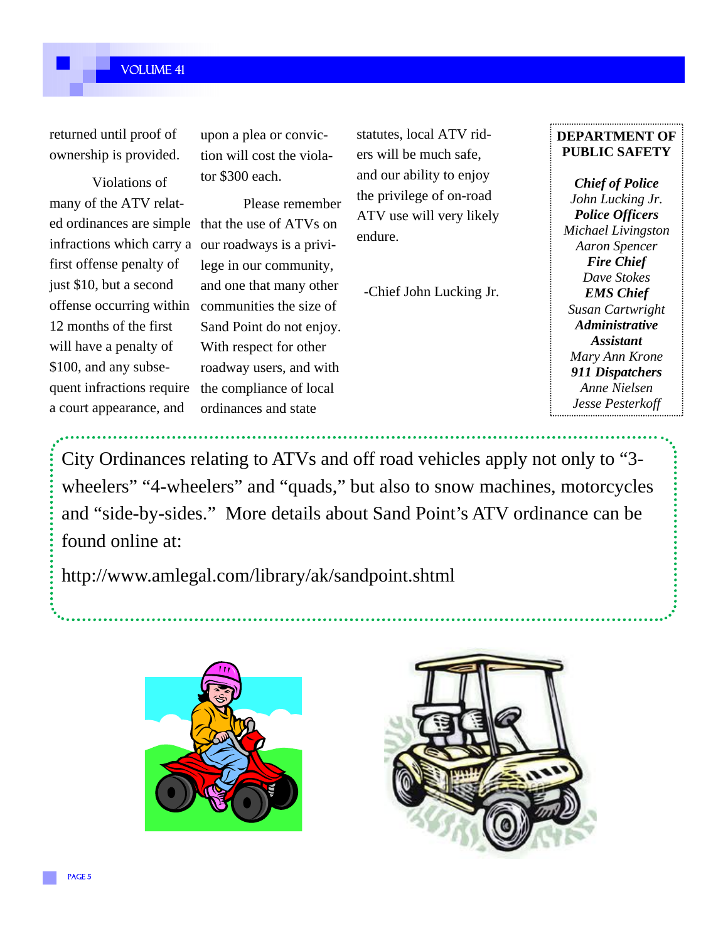#### Volume 41

returned until proof of ownership is provided.

 Violations of many of the ATV related ordinances are simple that the use of ATVs on infractions which carry a first offense penalty of just \$10, but a second offense occurring within 12 months of the first will have a penalty of \$100, and any subsequent infractions require a court appearance, and

upon a plea or conviction will cost the violator \$300 each.

 Please remember our roadways is a privilege in our community, and one that many other communities the size of Sand Point do not enjoy. With respect for other roadway users, and with the compliance of local ordinances and state

statutes, local ATV riders will be much safe, and our ability to enjoy the privilege of on-road ATV use will very likely endure.

-Chief John Lucking Jr.

#### **DEPARTMENT OF PUBLIC SAFETY**

*Chief of Police John Lucking Jr. Police Officers Michael Livingston Aaron Spencer Fire Chief Dave Stokes EMS Chief Susan Cartwright Administrative Assistant Mary Ann Krone 911 Dispatchers Anne Nielsen Jesse Pesterkoff* 

City Ordinances relating to ATVs and off road vehicles apply not only to "3 wheelers" "4-wheelers" and "quads," but also to snow machines, motorcycles and "side-by-sides." More details about Sand Point's ATV ordinance can be found online at:

http://www.amlegal.com/library/ak/sandpoint.shtml



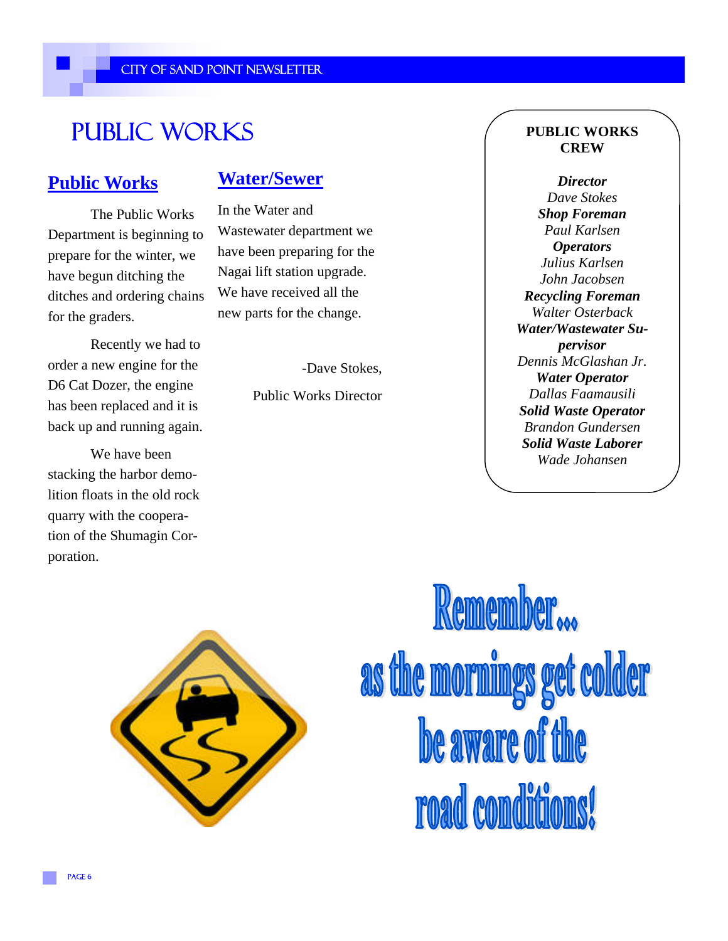### Public Works

### **Public Works**

 The Public Works Department is beginning to prepare for the winter, we have begun ditching the ditches and ordering chains for the graders.

 Recently we had to order a new engine for the D6 Cat Dozer, the engine has been replaced and it is back up and running again.

 We have been stacking the harbor demolition floats in the old rock quarry with the cooperation of the Shumagin Corporation.

### **Water/Sewer**

In the Water and Wastewater department we have been preparing for the Nagai lift station upgrade. We have received all the new parts for the change.

-Dave Stokes,

Public Works Director

#### **PUBLIC WORKS CREW**

*Director Dave Stokes Shop Foreman Paul Karlsen Operators Julius Karlsen John Jacobsen Recycling Foreman Walter Osterback Water/Wastewater Supervisor Dennis McGlashan Jr. Water Operator Dallas Faamausili Solid Waste Operator Brandon Gundersen Solid Waste Laborer Wade Johansen* 



Remember... as the mornings get colder be aware of the road conditions!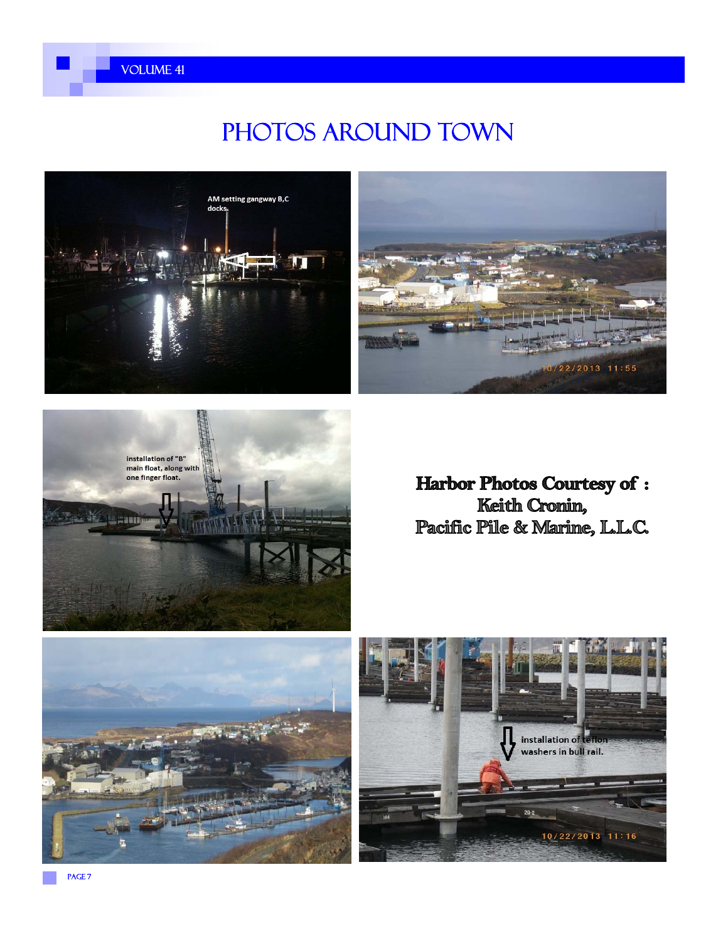

### PHOTOS AROUND TOWN







**Harbor Photos Courtesy of:** Keith Cronin, Pacific Pile & Marine, L.L.C.



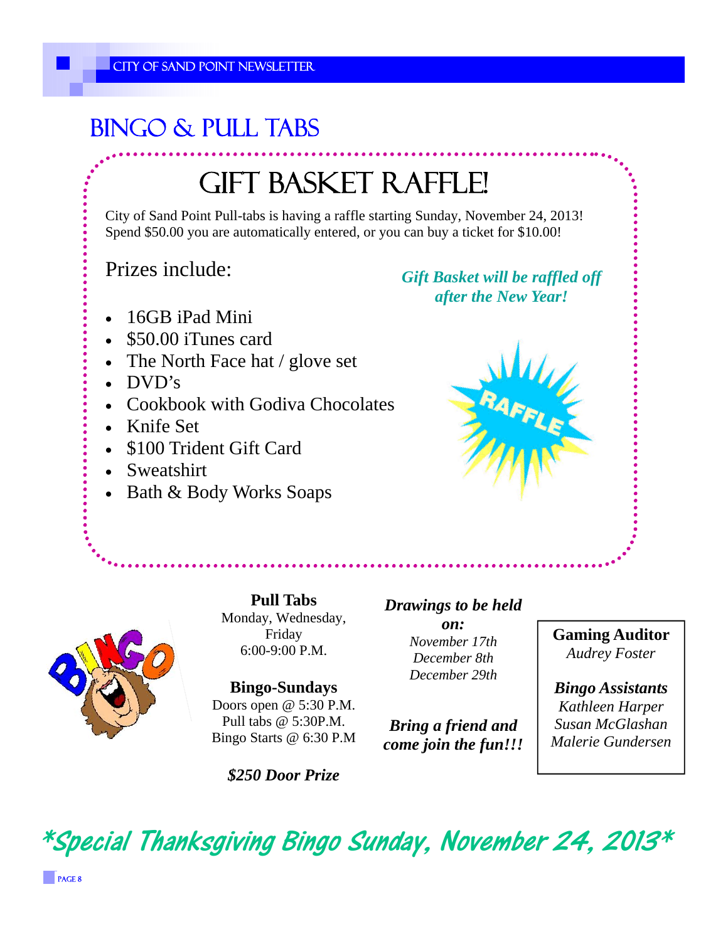### Bingo & Pull Tabs

## GIFT BASKET RAFFLE!

City of Sand Point Pull-tabs is having a raffle starting Sunday, November 24, 2013! Spend \$50.00 you are automatically entered, or you can buy a ticket for \$10.00!

Prizes include:

*Gift Basket will be raffled off after the New Year!* 

- 16GB iPad Mini
- \$50.00 iTunes card
- The North Face hat / glove set
- DVD's
- Cookbook with Godiva Chocolates
- Knife Set
- \$100 Trident Gift Card
- Sweatshirt
- Bath & Body Works Soaps





**Pull Tabs**  Monday, Wednesday, Friday 6:00-9:00 P.M.

**Bingo-Sundays**  Doors open @ 5:30 P.M. Pull tabs @ 5:30P.M. Bingo Starts @ 6:30 P.M

*\$250 Door Prize* 

### *Drawings to be held*

*on: November 17th December 8th December 29th* 

*Bring a friend and come join the fun!!!*  **Gaming Auditor**  *Audrey Foster* 

*Bingo Assistants Kathleen Harper Susan McGlashan Malerie Gundersen* 

\*Special Thanksgiving Bingo Sunday, November 24, 2013\*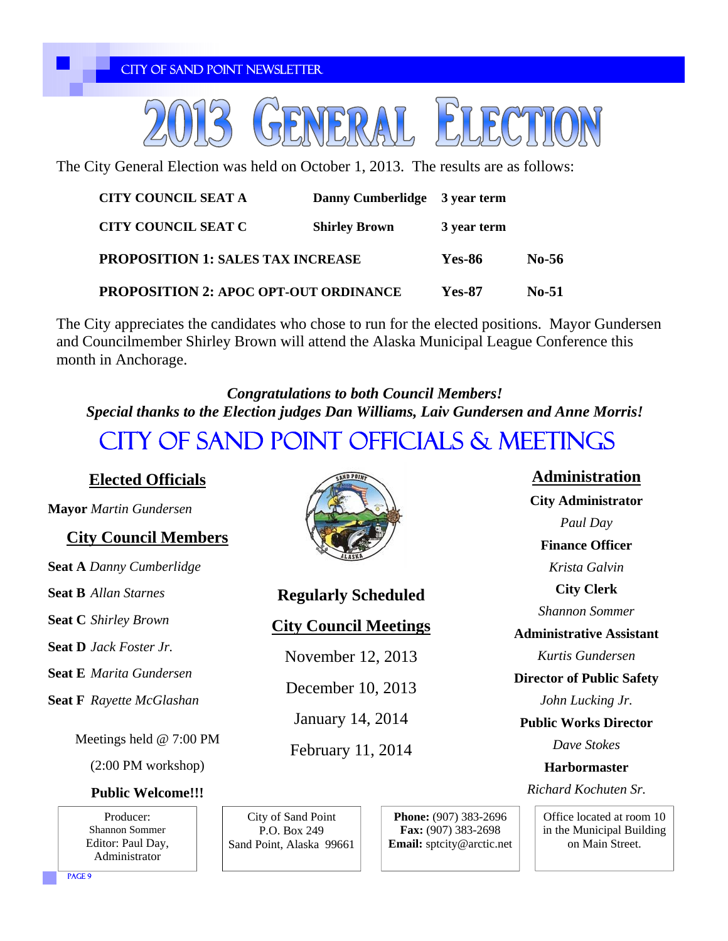CITY OF SAND POINT NEWSLETTER



The City General Election was held on October 1, 2013. The results are as follows:

| <b>CITY COUNCIL SEAT A</b>                   | Danny Cumberlidge 3 year term |             |              |
|----------------------------------------------|-------------------------------|-------------|--------------|
| CITY COUNCIL SEAT C                          | <b>Shirley Brown</b>          | 3 year term |              |
| <b>PROPOSITION 1: SALES TAX INCREASE</b>     |                               | Yes-86      | No-56        |
| <b>PROPOSITION 2: APOC OPT-OUT ORDINANCE</b> |                               | Yes-87      | <b>No-51</b> |

The City appreciates the candidates who chose to run for the elected positions. Mayor Gundersen and Councilmember Shirley Brown will attend the Alaska Municipal League Conference this month in Anchorage.

City of Sand Point Officials & Meetings *Congratulations to both Council Members! Special thanks to the Election judges Dan Williams, Laiv Gundersen and Anne Morris!* 

#### **Elected Officials**

**Mayor** *Martin Gundersen*

#### **City Council Members**

**Seat A** *Danny Cumberlidge*

**Seat B** *Allan Starnes*

**Seat C** *Shirley Brown*

**Seat D** *Jack Foster Jr.*

**Seat E** *Marita Gundersen* 

**Seat F** *Rayette McGlashan*

Meetings held @ 7:00 PM

(2:00 PM workshop)

#### **Public Welcome!!!**

Producer: Shannon Sommer Editor: Paul Day, Administrator



**Regularly Scheduled** 

#### **City Council Meetings**

November 12, 2013

December 10, 2013

January 14, 2014

February 11, 2014

City of Sand Point P.O. Box 249 Sand Point, Alaska 99661 **Phone:** (907) 383-2696 **Fax:** (907) 383-2698 **Email:** sptcity@arctic.net

**Administration City Administrator**  *Paul Day* **Finance Officer**  *Krista Galvin* **City Clerk**  *Shannon Sommer*  **Administrative Assistant**  *Kurtis Gundersen* **Director of Public Safety**  *John Lucking Jr.* **Public Works Director**  *Dave Stokes*  **Harbormaster**  *Richard Kochuten Sr.*

Office located at room 10 in the Municipal Building on Main Street.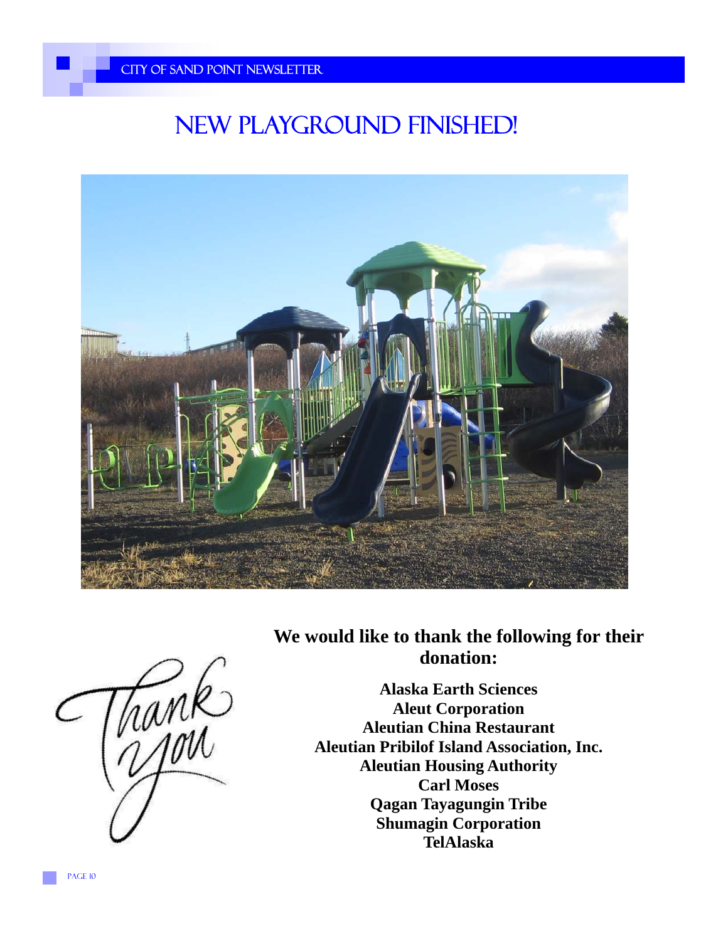### New Playground Finished!



**We would like to thank the following for their donation:** 



**Alaska Earth Sciences Aleut Corporation Aleutian China Restaurant Aleutian Pribilof Island Association, Inc. Aleutian Housing Authority Carl Moses Qagan Tayagungin Tribe Shumagin Corporation TelAlaska**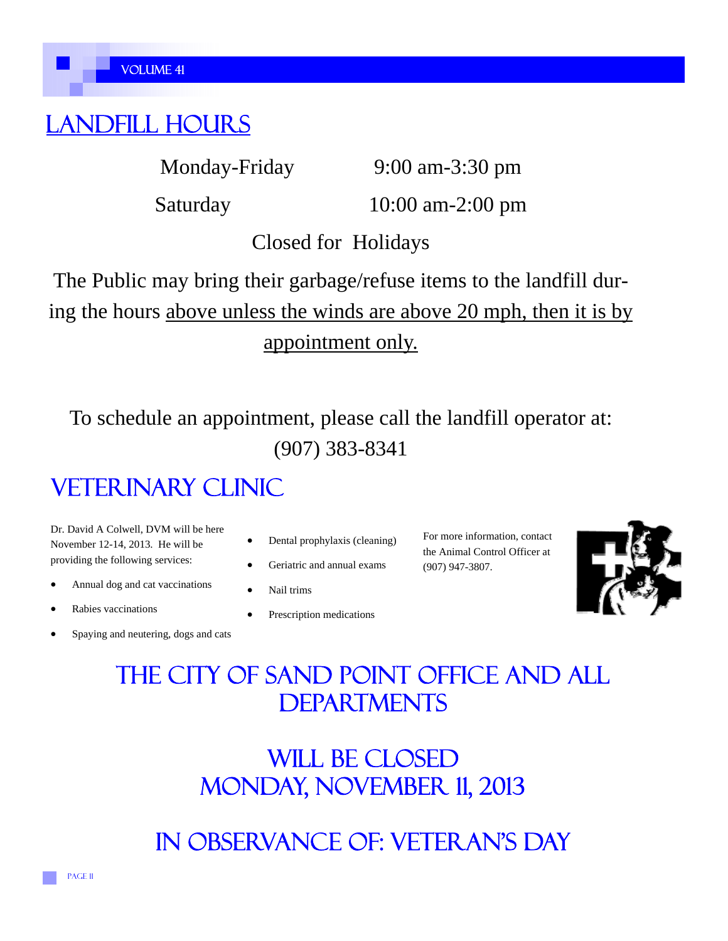### Landfill Hours

Monday-Friday 9:00 am-3:30 pm

Saturday 10:00 am-2:00 pm

Closed for Holidays

The Public may bring their garbage/refuse items to the landfill during the hours above unless the winds are above 20 mph, then it is by appointment only.

To schedule an appointment, please call the landfill operator at: (907) 383-8341

### **VETERINARY CLINIC**

Dr. David A Colwell, DVM will be here November 12-14, 2013. He will be providing the following services:

- Annual dog and cat vaccinations
- Rabies vaccinations
- Spaying and neutering, dogs and cats
- Dental prophylaxis (cleaning)
- Geriatric and annual exams
- Nail trims
- Prescription medications

For more information, contact the Animal Control Officer at (907) 947-3807.



### The city of sand point office and all **DEPARTMENTS**

WILL BE CLOSED Monday, November 11, 2013

In observance of: veteran's day